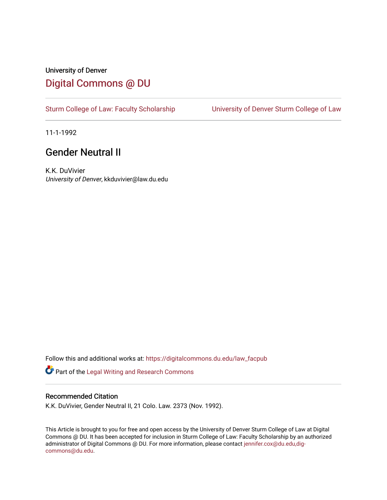## University of Denver [Digital Commons @ DU](https://digitalcommons.du.edu/)

[Sturm College of Law: Faculty Scholarship](https://digitalcommons.du.edu/law_facpub) [University of Denver Sturm College of Law](https://digitalcommons.du.edu/denver_law) 

11-1-1992

## Gender Neutral II

K.K. DuVivier University of Denver, kkduvivier@law.du.edu

Follow this and additional works at: [https://digitalcommons.du.edu/law\\_facpub](https://digitalcommons.du.edu/law_facpub?utm_source=digitalcommons.du.edu%2Flaw_facpub%2F342&utm_medium=PDF&utm_campaign=PDFCoverPages) 

Part of the [Legal Writing and Research Commons](http://network.bepress.com/hgg/discipline/614?utm_source=digitalcommons.du.edu%2Flaw_facpub%2F342&utm_medium=PDF&utm_campaign=PDFCoverPages) 

### Recommended Citation

K.K. DuVivier, Gender Neutral II, 21 Colo. Law. 2373 (Nov. 1992).

This Article is brought to you for free and open access by the University of Denver Sturm College of Law at Digital Commons @ DU. It has been accepted for inclusion in Sturm College of Law: Faculty Scholarship by an authorized administrator of Digital Commons @ DU. For more information, please contact [jennifer.cox@du.edu,dig](mailto:jennifer.cox@du.edu,dig-commons@du.edu)[commons@du.edu.](mailto:jennifer.cox@du.edu,dig-commons@du.edu)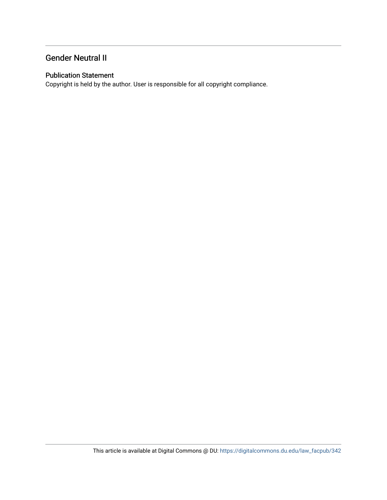### Gender Neutral II

### Publication Statement

Copyright is held by the author. User is responsible for all copyright compliance.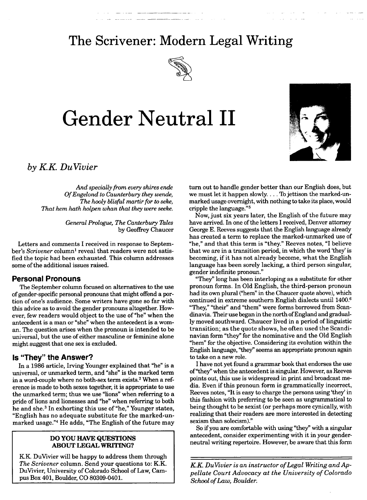## **The Scrivener: Modern Legal Writing**

 $\sim$   $\sim$ 



# **Gender Neutral II**



# **I** *by KK DuVivier*

*And specially from every shires ende Of Engelond to Caunterbury they wende, The hooly blisful martir for to seke, That hem hath holpen whan that they were seeke.*

> *General Prologue, The Canterbury Tales* by Geoffrey Chaucer

Letters and comments I received in response to September's *Scrivener* column<sup>1</sup> reveal that readers were not satisfied the topic had been exhausted. This column addresses some of the additional issues raised.

### **Personal Pronouns**

The September column focused on alternatives to the use of gender-specific personal pronouns that might offend a portion of one's audience. Some writers have gone so far with this advice as to avoid the gender pronouns altogether. However, few readers would object to the use of "he" when the antecedent is a man or "she" when the antecedent is a woman. The question arises when the pronoun is intended to be universal, but the use of either masculine or feminine alone might suggest that one sex is excluded.

### **Is "They" the Answer?**

In a 1986 article, Irving Younger explained that "he" is a universal, or unmarked term, and "she" is the marked term in a word-couple where no both-sex term exists.2 When a reference is made to both sexes together, it is appropriate to use the unmarked term; thus we use "lions" when referring to a pride of lions and lionesses and "he" when referring to both he and she.<sup>3</sup> In exhorting this use of "he," Younger states, "English has no adequate substitute for the marked-unmarked usage."4 He adds, "The English of the future may

#### **DO YOU HAVE QUESTIONS ABOUT LEGAL WRITING?**

KK DuVivier will be happy to address them through *The Scrivener* column. Send your questions to: K.K. DuVivier, University of Colorado School of Law, Campus Box 401, Boulder, **CO 80309-0401.**

turn out to handle gender better than our English does, but we must let it happen slowly.... To jettison the marked-unmarked usage overnight, with nothing to take its place, would cripple the language."<sup>5</sup>

Now, just six years later, the English of the future may have arrived. In one of the letters I received, Denver attorney George E. Reeves suggests that the English language already has created a term to replace the marked-unmarked use of "he," and that this term is "they." Reeves notes, "I believe that we are in a transition period, in which the word 'they' is becoming, if it has not already become, what the English language has been sorely lacking, a third person singular, gender indefinite pronoun."

"They" long has been interloping as a substitute for other pronoun forms. In Old English, the third-person pronoun had its own plural ("hem" in the Chaucer quote above), which continued in extreme southern English dialects until 1400.6 "They," "their" and "them" were forms borrowed from Scandinavia. Their use began in the north of England and gradually moved southward. Chaucer lived in a period of linguistic transition; as the quote shows, he often used the Scandinavian form "they" for the nominative and the Old English "hem" for the objective. Considering its evolution within the English language, "they" seems an appropriate pronoun again to take on a new role.

I have not yet found a grammar book that endorses the use of "they" when the antecedent is singular. However, as Reeves points out, this use is widespread in print and broadcast media. Even if this pronoun form is grammatically incorrect, Reeves notes, "It is easy to charge the persons using 'they' in this fashion with preferring to be seen as ungrammatical to being thought to be sexist (or perhaps more cynically, with realizing that their readers are more interested in detecting sexism than solecism)."

So if you are comfortable with using "they" with a singular antecedent, consider experimenting with it in your genderneutral writing repertoire. However, be aware that this form

*KK DuVivier is an instructor of Legal Writing and Appellate Court Advocacy at the University of Colorado School of Law, Boulder.*